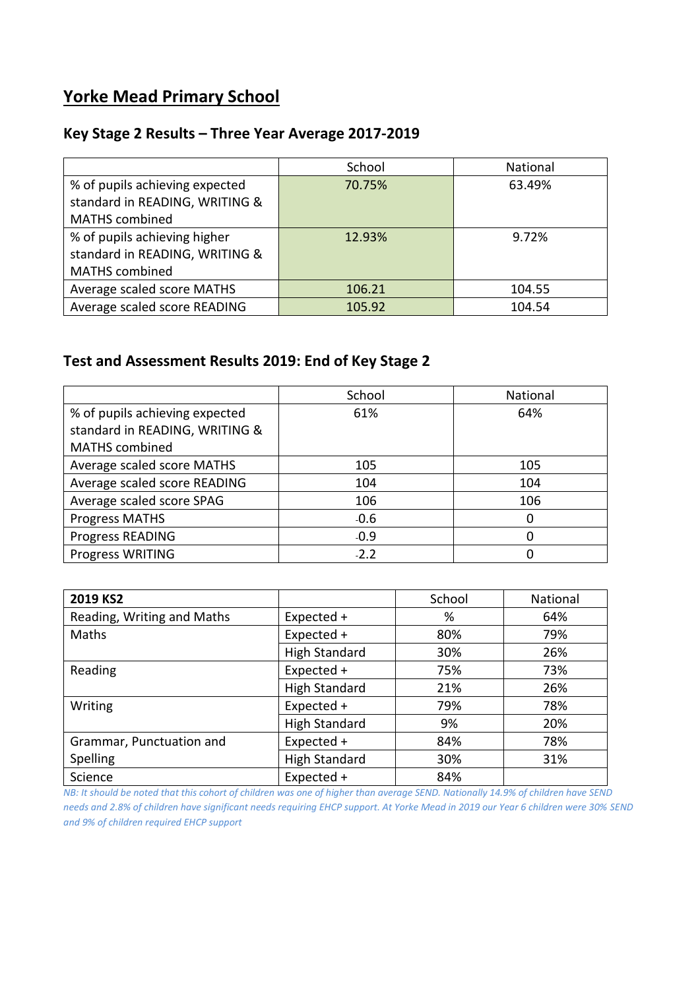## **Yorke Mead Primary School**

## **Key Stage 2 Results – Three Year Average 2017-2019**

|                                | School | National |
|--------------------------------|--------|----------|
| % of pupils achieving expected | 70.75% | 63.49%   |
| standard in READING, WRITING & |        |          |
| <b>MATHS</b> combined          |        |          |
| % of pupils achieving higher   | 12.93% | 9.72%    |
| standard in READING, WRITING & |        |          |
| <b>MATHS</b> combined          |        |          |
| Average scaled score MATHS     | 106.21 | 104.55   |
| Average scaled score READING   | 105.92 | 104.54   |

## **Test and Assessment Results 2019: End of Key Stage 2**

|                                | School | National |
|--------------------------------|--------|----------|
| % of pupils achieving expected | 61%    | 64%      |
| standard in READING, WRITING & |        |          |
| <b>MATHS</b> combined          |        |          |
| Average scaled score MATHS     | 105    | 105      |
| Average scaled score READING   | 104    | 104      |
| Average scaled score SPAG      | 106    | 106      |
| <b>Progress MATHS</b>          | $-0.6$ | 0        |
| Progress READING               | $-0.9$ | 0        |
| Progress WRITING               | $-2.2$ |          |

| 2019 KS2                   |                      | School | National |
|----------------------------|----------------------|--------|----------|
| Reading, Writing and Maths | Expected +           | %      | 64%      |
| Maths                      | Expected +           | 80%    | 79%      |
|                            | <b>High Standard</b> | 30%    | 26%      |
| Reading                    | Expected +           | 75%    | 73%      |
|                            | <b>High Standard</b> | 21%    | 26%      |
| Writing                    | Expected +           | 79%    | 78%      |
|                            | <b>High Standard</b> | 9%     | 20%      |
| Grammar, Punctuation and   | Expected +           | 84%    | 78%      |
| Spelling                   | <b>High Standard</b> | 30%    | 31%      |
| Science                    | Expected +           | 84%    |          |

*NB: It should be noted that this cohort of children was one of higher than average SEND. Nationally 14.9% of children have SEND needs and 2.8% of children have significant needs requiring EHCP support. At Yorke Mead in 2019 our Year 6 children were 30% SEND and 9% of children required EHCP support*